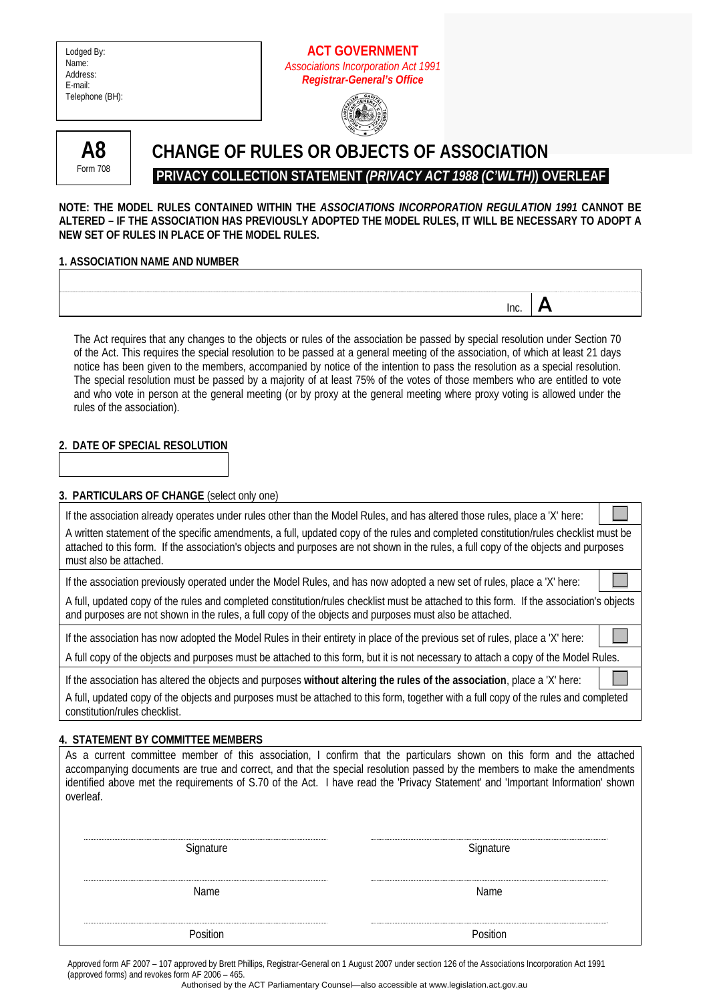| Lodged By:      |
|-----------------|
| Name:           |
| Address:        |
| E-mail:         |
| Telephone (BH): |

# **ACT GOVERNMENT**  *Associations Incorporation Act 1991 Registrar-General's Office*





# **CHANGE OF RULES OR OBJECTS OF ASSOCIATION PRIVACY COLLECTION STATEMENT** *(PRIVACY ACT 1988 (C'WLTH)***) OVERLEAF**

### **NOTE: THE MODEL RULES CONTAINED WITHIN THE** *ASSOCIATIONS INCORPORATION REGULATION 1991* **CANNOT BE ALTERED – IF THE ASSOCIATION HAS PREVIOUSLY ADOPTED THE MODEL RULES, IT WILL BE NECESSARY TO ADOPT A NEW SET OF RULES IN PLACE OF THE MODEL RULES.**

# **1. ASSOCIATION NAME AND NUMBER**

The Act requires that any changes to the objects or rules of the association be passed by special resolution under Section 70 of the Act. This requires the special resolution to be passed at a general meeting of the association, of which at least 21 days notice has been given to the members, accompanied by notice of the intention to pass the resolution as a special resolution. The special resolution must be passed by a majority of at least 75% of the votes of those members who are entitled to vote and who vote in person at the general meeting (or by proxy at the general meeting where proxy voting is allowed under the rules of the association).

 $\overline{\mathsf{I}}$  Inc.  $\overline{\mathsf{A}}$ 

# **2. DATE OF SPECIAL RESOLUTION**

## **3. PARTICULARS OF CHANGE** (select only one)

| If the association already operates under rules other than the Model Rules, and has altered those rules, place a 'X' here:                                                                                                                                                                             |  |
|--------------------------------------------------------------------------------------------------------------------------------------------------------------------------------------------------------------------------------------------------------------------------------------------------------|--|
| A written statement of the specific amendments, a full, updated copy of the rules and completed constitution/rules checklist must be<br>attached to this form. If the association's objects and purposes are not shown in the rules, a full copy of the objects and purposes<br>must also be attached. |  |
| If the association previously operated under the Model Rules, and has now adopted a new set of rules, place a 'X' here:                                                                                                                                                                                |  |
| A full, updated copy of the rules and completed constitution/rules checklist must be attached to this form. If the association's objects<br>and purposes are not shown in the rules, a full copy of the objects and purposes must also be attached.                                                    |  |
| If the association has now adopted the Model Rules in their entirety in place of the previous set of rules, place a 'X' here:                                                                                                                                                                          |  |
| A full copy of the objects and purposes must be attached to this form, but it is not necessary to attach a copy of the Model Rules.                                                                                                                                                                    |  |
| If the association has altered the objects and purposes without altering the rules of the association, place a 'X' here:                                                                                                                                                                               |  |
| A full, updated copy of the objects and purposes must be attached to this form, together with a full copy of the rules and completed<br>constitution/rules checklist.                                                                                                                                  |  |

## **4. STATEMENT BY COMMITTEE MEMBERS**

|           | As a current committee member of this association, I confirm that the particulars shown on this form and the attached           |
|-----------|---------------------------------------------------------------------------------------------------------------------------------|
|           | accompanying documents are true and correct, and that the special resolution passed by the members to make the amendments       |
| overleaf. | identified above met the requirements of S.70 of the Act. I have read the 'Privacy Statement' and 'Important Information' shown |
|           |                                                                                                                                 |
|           |                                                                                                                                 |

| Signature                               | Signature |
|-----------------------------------------|-----------|
| <br>Name                                | Name      |
| ,,,,,,,,,,,,,,,,,,,,,,,,,,,<br>Position | Position  |

Approved form AF 2007 – 107 approved by Brett Phillips, Registrar-General on 1 August 2007 under section 126 of the Associations Incorporation Act 1991 (approved forms) and revokes form AF 2006 – 465.

Authorised by the ACT Parliamentary Counsel—also accessible at www.legislation.act.gov.au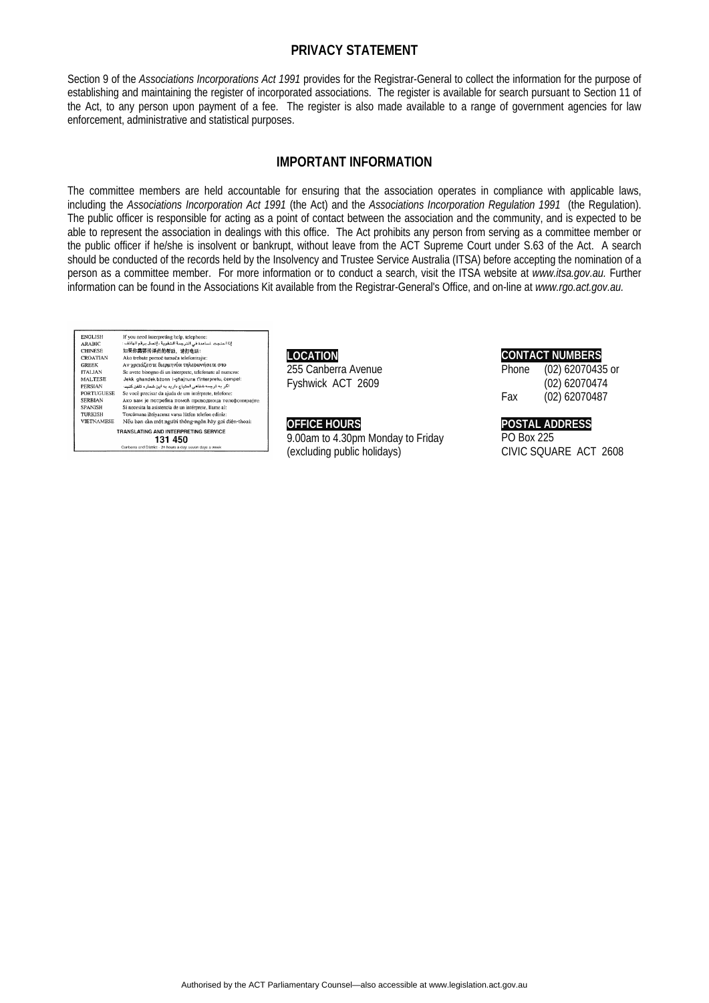## **PRIVACY STATEMENT**

Section 9 of the *Associations Incorporations Act 1991* provides for the Registrar-General to collect the information for the purpose of establishing and maintaining the register of incorporated associations. The register is available for search pursuant to Section 11 of the Act, to any person upon payment of a fee. The register is also made available to a range of government agencies for law enforcement, administrative and statistical purposes.

# **IMPORTANT INFORMATION**

The committee members are held accountable for ensuring that the association operates in compliance with applicable laws, including the *Associations Incorporation Act 1991* (the Act) and the *Associations Incorporation Regulation 1991* (the Regulation). The public officer is responsible for acting as a point of contact between the association and the community, and is expected to be able to represent the association in dealings with this office. The Act prohibits any person from serving as a committee member or the public officer if he/she is insolvent or bankrupt, without leave from the ACT Supreme Court under S.63 of the Act. A search should be conducted of the records held by the Insolvency and Trustee Service Australia (ITSA) before accepting the nomination of a person as a committee member. For more information or to conduct a search, visit the ITSA website at *www.itsa.gov.au.* Further information can be found in the Associations Kit available from the Registrar-General's Office, and on-line at *www.rgo.act.gov.au.*

| <b>ENGLISH</b>                       | If you need interpreting help, telephone:                 |  |
|--------------------------------------|-----------------------------------------------------------|--|
| <b>ARABIC</b>                        | إذا احتجت لساعدة في الترجمة الشفوية ، إتصل برقم الهاتف :  |  |
| <b>CHINESE</b>                       | 如果你需要传译员的帮助,请打电话:                                         |  |
| <b>CROATIAN</b>                      | Ako trebate pomoć tumača telefonirajte:                   |  |
| <b>GREEK</b>                         | Αν χρειάζεστε διερμηνέα τηλεφωνήσετε στο                  |  |
| <b>ITALIAN</b>                       | Se avete bisogno di un interprete, telefonate al numero:  |  |
| <b>MALTESE</b>                       | Jekk ghandek bżonn I-ghajnuna t'interpretu, cempel:       |  |
| PERSIAN                              | اگر به ترجمه شفاهی احتیاج دارید به این شماره تلفن کنید:   |  |
| <b>PORTUGUESE</b>                    | Se você precisar da ajuda de um intérprete, telefone:     |  |
| <b>SERBIAN</b>                       | Ако вам је потребна помоћ преводиоца телефонирајте:       |  |
| <b>SPANISH</b>                       | Si necesita la asistencia de un intérprete, llame al:     |  |
| <b>TURKISH</b>                       | Tercümana ihtiyacınız varsa lütfen telefon ediniz:        |  |
| <b>VIETNAMESE</b>                    | Nếu bạn cần một người thông ngôn hãy gọi điện thoại:      |  |
| TRANSLATING AND INTERPRETING SERVICE |                                                           |  |
| 131 450                              |                                                           |  |
|                                      | Canberra and District - 24 hours a day, seven days a week |  |

**LOCATION**  255 Canberra Avenue Fyshwick ACT 2609

#### **OFFICE HOURS**

9.00am to 4.30pm Monday to Friday (excluding public holidays)

## **CONTACT NUMBERS**

Phone (02) 62070435 or (02) 62070474 Fax (02) 62070487

## **POSTAL ADDRESS**

PO Box 225 CIVIC SQUARE ACT 2608